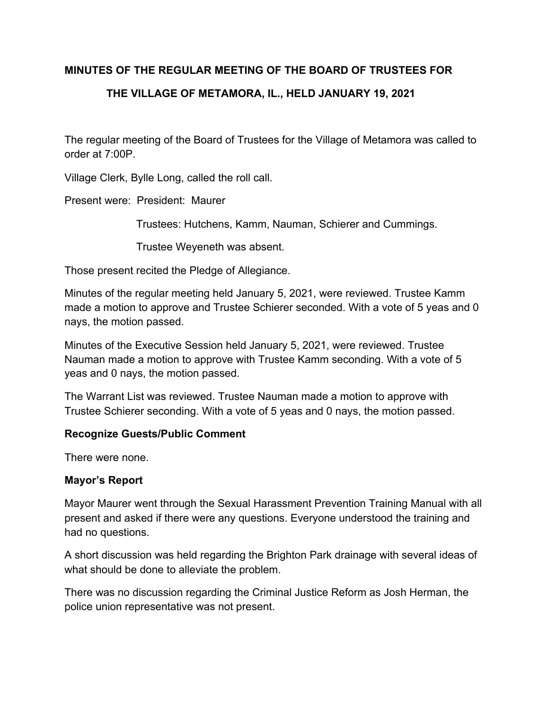## **MINUTES OF THE REGULAR MEETING OF THE BOARD OF TRUSTEES FOR**

# **THE VILLAGE OF METAMORA, IL., HELD JANUARY 19, 2021**

The regular meeting of the Board of Trustees for the Village of Metamora was called to order at 7:00P.

Village Clerk, Bylle Long, called the roll call.

Present were: President: Maurer

Trustees: Hutchens, Kamm, Nauman, Schierer and Cummings.

Trustee Weyeneth was absent.

Those present recited the Pledge of Allegiance.

Minutes of the regular meeting held January 5, 2021, were reviewed. Trustee Kamm made a motion to approve and Trustee Schierer seconded. With a vote of 5 yeas and 0 nays, the motion passed.

Minutes of the Executive Session held January 5, 2021, were reviewed. Trustee Nauman made a motion to approve with Trustee Kamm seconding. With a vote of 5 yeas and 0 nays, the motion passed.

The Warrant List was reviewed. Trustee Nauman made a motion to approve with Trustee Schierer seconding. With a vote of 5 yeas and 0 nays, the motion passed.

#### **Recognize Guests/Public Comment**

There were none.

#### **Mayor's Report**

Mayor Maurer went through the Sexual Harassment Prevention Training Manual with all present and asked if there were any questions. Everyone understood the training and had no questions.

A short discussion was held regarding the Brighton Park drainage with several ideas of what should be done to alleviate the problem.

There was no discussion regarding the Criminal Justice Reform as Josh Herman, the police union representative was not present.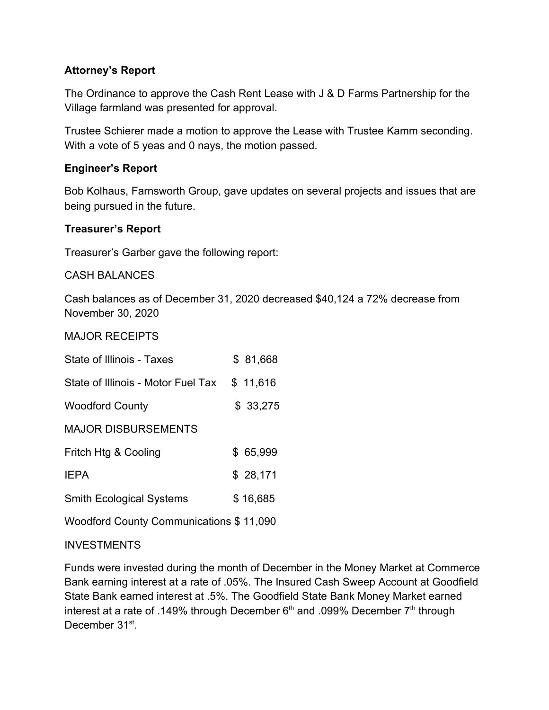# **Attorney's Report**

The Ordinance to approve the Cash Rent Lease with J & D Farms Partnership for the Village farmland was presented for approval.

Trustee Schierer made a motion to approve the Lease with Trustee Kamm seconding. With a vote of 5 yeas and 0 nays, the motion passed.

## **Engineer's Report**

Bob Kolhaus, Farnsworth Group, gave updates on several projects and issues that are being pursued in the future.

### **Treasurer's Report**

Treasurer's Garber gave the following report:

CASH BALANCES

Cash balances as of December 31, 2020 decreased \$40,124 a 72% decrease from November 30, 2020

MAJOR RECEIPTS

| State of Illinois - Taxes          | \$ 81,668 |
|------------------------------------|-----------|
| State of Illinois - Motor Fuel Tax | \$11,616  |
| <b>Woodford County</b>             | \$33,275  |
| <b>MAJOR DISBURSEMENTS</b>         |           |
| Fritch Htg & Cooling               | \$ 65,999 |
| <b>IEPA</b>                        | \$28,171  |
| <b>Smith Ecological Systems</b>    | \$16,685  |
|                                    |           |

Woodford County Communications \$ 11,090

#### INVESTMENTS

Funds were invested during the month of December in the Money Market at Commerce Bank earning interest at a rate of .05%. The Insured Cash Sweep Account at Goodfield State Bank earned interest at .5%. The Goodfield State Bank Money Market earned interest at a rate of .149% through December  $6<sup>th</sup>$  and .099% December  $7<sup>th</sup>$  through December 31<sup>st</sup>.